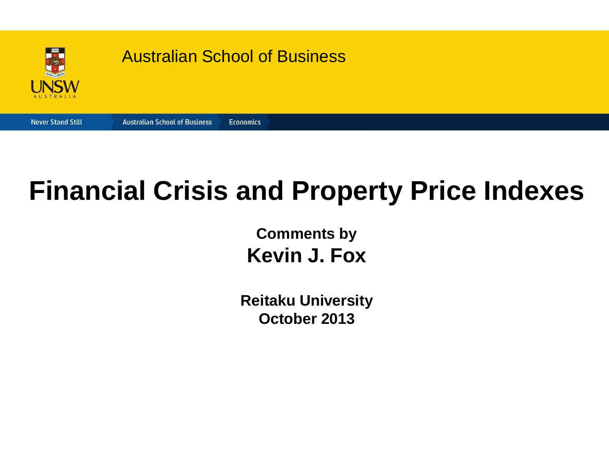

#### **Financial Crisis and Property Price Indexes**

**Comments by Kevin J. Fox** 

**Reitaku University October 2013**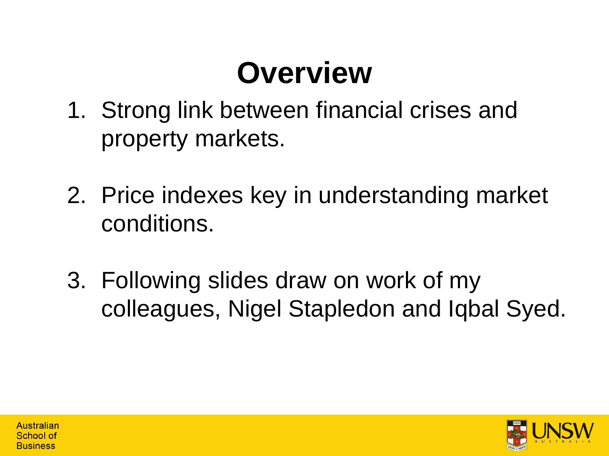# **Overview**

- 1. Strong link between financial crises and property markets.
- 2. Price indexes key in understanding market conditions.
- 3. Following slides draw on work of my colleagues, Nigel Stapledon and Iqbal Syed.

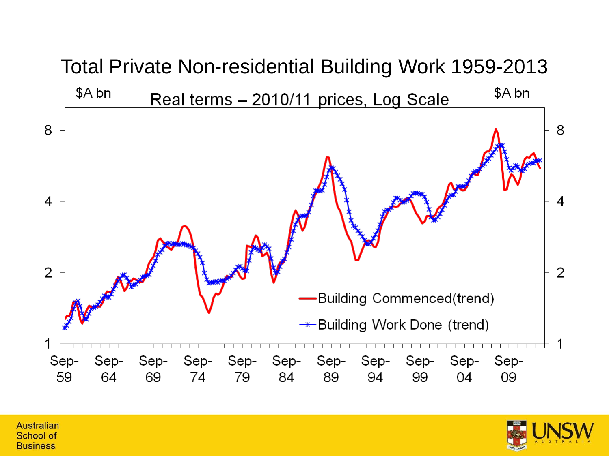

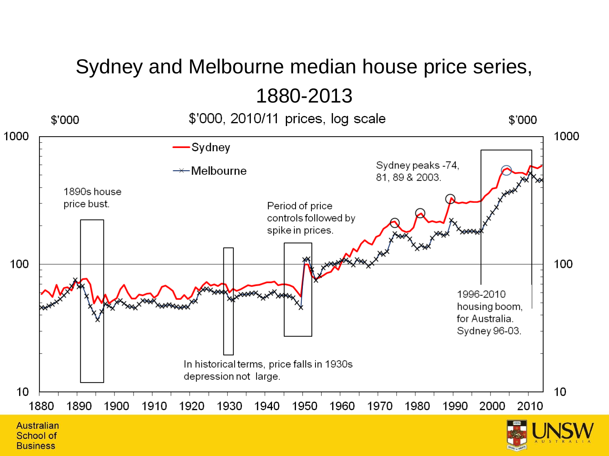#### Sydney and Melbourne median house price series, 1880-2013



**Business**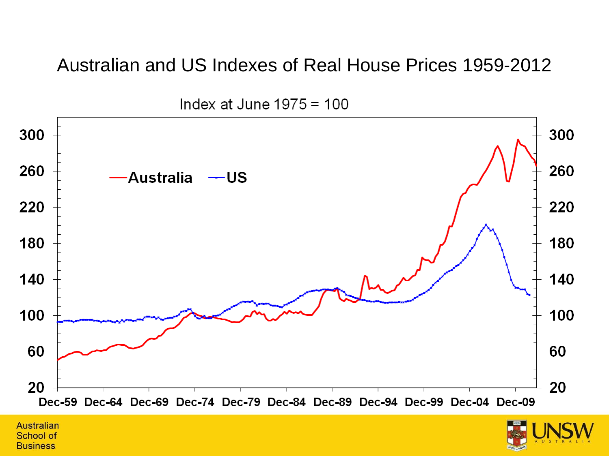#### Australian and US Indexes of Real House Prices 1959-2012



Index at June  $1975 = 100$ 

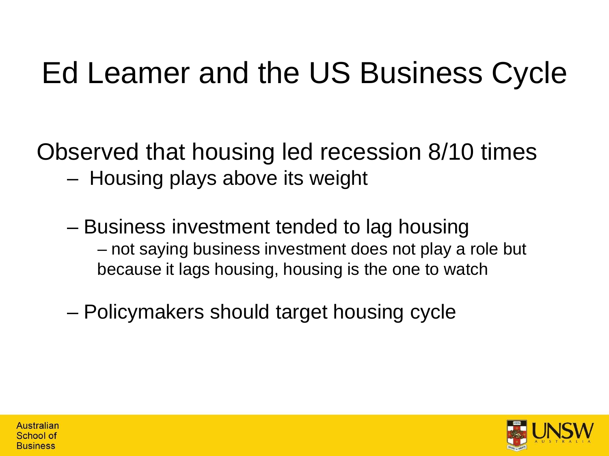# Ed Leamer and the US Business Cycle

Observed that housing led recession 8/10 times

- Housing plays above its weight
- Business investment tended to lag housing – not saying business investment does not play a role but because it lags housing, housing is the one to watch
- Policymakers should target housing cycle

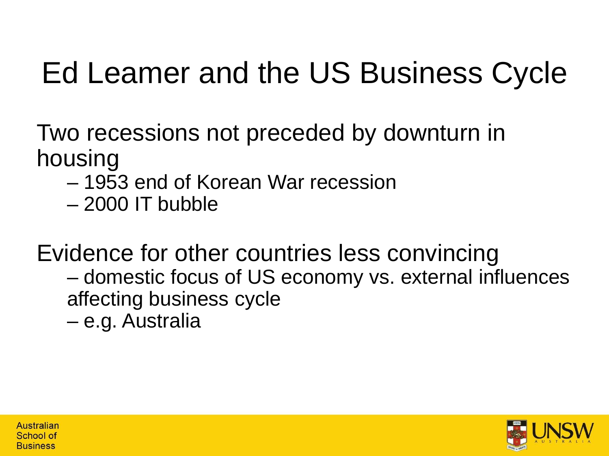# Ed Leamer and the US Business Cycle

Two recessions not preceded by downturn in housing

- 1953 end of Korean War recession
- 2000 IT bubble

Evidence for other countries less convincing – domestic focus of US economy vs. external influences affecting business cycle

– e.g. Australia

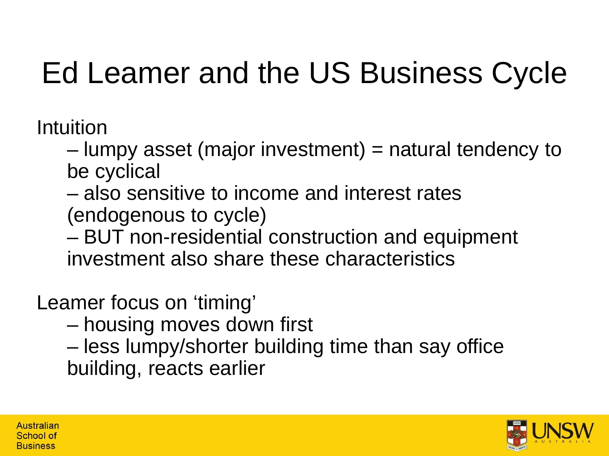# Ed Leamer and the US Business Cycle

Intuition

– lumpy asset (major investment) = natural tendency to be cyclical

– also sensitive to income and interest rates (endogenous to cycle)

– BUT non-residential construction and equipment investment also share these characteristics

Leamer focus on 'timing'

– housing moves down first

– less lumpy/shorter building time than say office building, reacts earlier

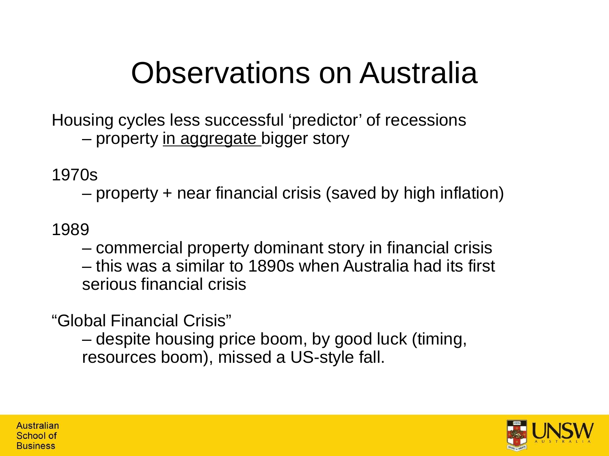#### Observations on Australia

Housing cycles less successful 'predictor' of recessions – property in aggregate bigger story

1970s

– property + near financial crisis (saved by high inflation)

1989

– commercial property dominant story in financial crisis – this was a similar to 1890s when Australia had its first serious financial crisis

"Global Financial Crisis"

– despite housing price boom, by good luck (timing, resources boom), missed a US-style fall.

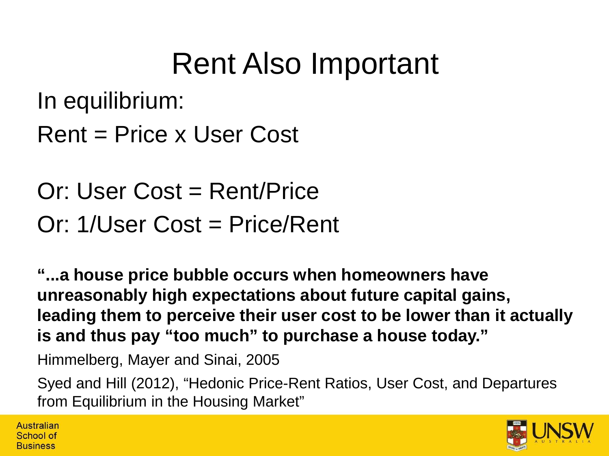### Rent Also Important

In equilibrium:

```
Rent = Price x User Cost
```
Or: User Cost = Rent/Price Or: 1/User Cost = Price/Rent

**"...a house price bubble occurs when homeowners have unreasonably high expectations about future capital gains, leading them to perceive their user cost to be lower than it actually is and thus pay "too much" to purchase a house today."**

Himmelberg, Mayer and Sinai, 2005

Australian School of **Business** 

Syed and Hill (2012), "Hedonic Price-Rent Ratios, User Cost, and Departures from Equilibrium in the Housing Market"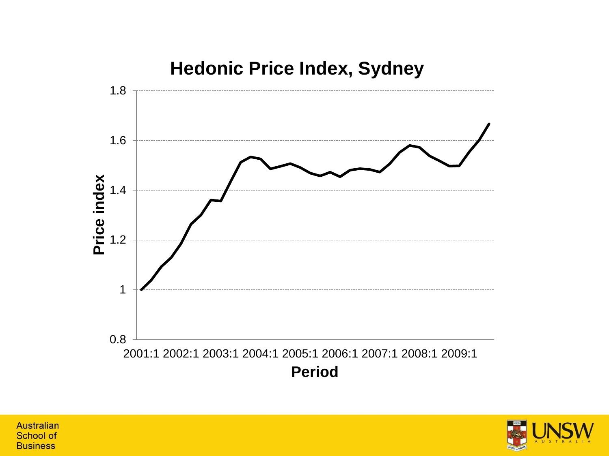



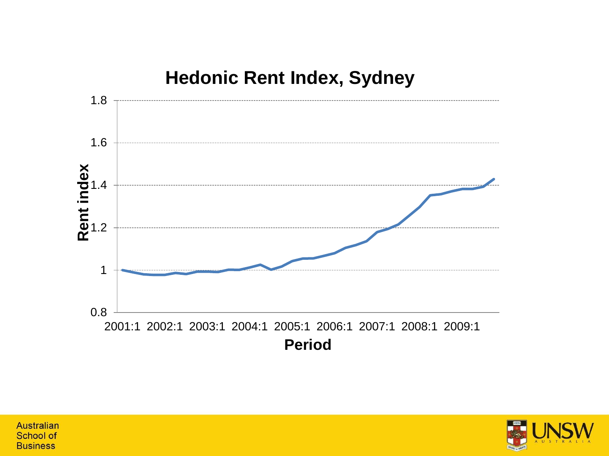

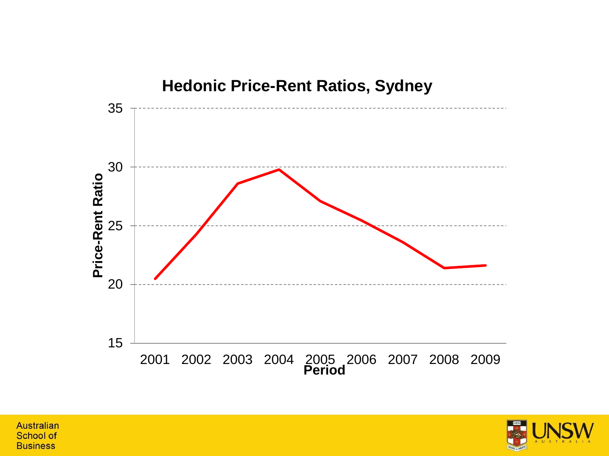